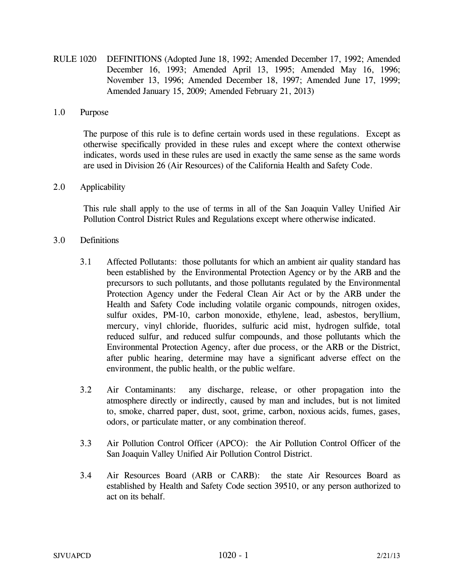RULE 1020 DEFINITIONS (Adopted June 18, 1992; Amended December 17, 1992; Amended December 16, 1993; Amended April 13, 1995; Amended May 16, 1996; November 13, 1996; Amended December 18, 1997; Amended June 17, 1999; Amended January 15, 2009; Amended February 21, 2013)

## 1.0 Purpose

The purpose of this rule is to define certain words used in these regulations. Except as otherwise specifically provided in these rules and except where the context otherwise indicates, words used in these rules are used in exactly the same sense as the same words are used in Division 26 (Air Resources) of the California Health and Safety Code.

## 2.0 Applicability

This rule shall apply to the use of terms in all of the San Joaquin Valley Unified Air Pollution Control District Rules and Regulations except where otherwise indicated.

## 3.0 Definitions

- 3.1 Affected Pollutants: those pollutants for which an ambient air quality standard has been established by the Environmental Protection Agency or by the ARB and the precursors to such pollutants, and those pollutants regulated by the Environmental Protection Agency under the Federal Clean Air Act or by the ARB under the Health and Safety Code including volatile organic compounds, nitrogen oxides, sulfur oxides, PM-10, carbon monoxide, ethylene, lead, asbestos, beryllium, mercury, vinyl chloride, fluorides, sulfuric acid mist, hydrogen sulfide, total reduced sulfur, and reduced sulfur compounds, and those pollutants which the Environmental Protection Agency, after due process, or the ARB or the District, after public hearing, determine may have a significant adverse effect on the environment, the public health, or the public welfare.
- 3.2 Air Contaminants: any discharge, release, or other propagation into the atmosphere directly or indirectly, caused by man and includes, but is not limited to, smoke, charred paper, dust, soot, grime, carbon, noxious acids, fumes, gases, odors, or particulate matter, or any combination thereof.
- 3.3 Air Pollution Control Officer (APCO): the Air Pollution Control Officer of the San Joaquin Valley Unified Air Pollution Control District.
- 3.4 Air Resources Board (ARB or CARB): the state Air Resources Board as established by Health and Safety Code section 39510, or any person authorized to act on its behalf.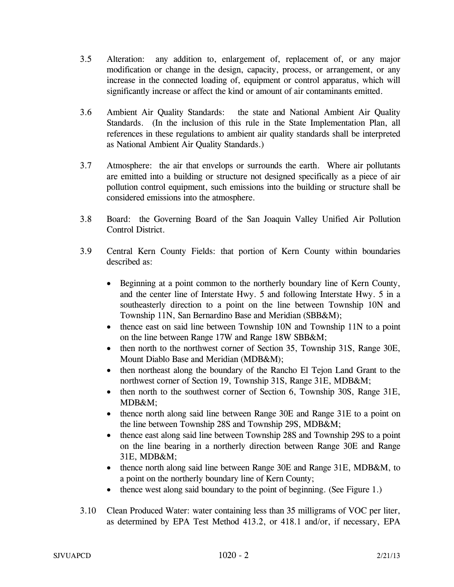- 3.5 Alteration: any addition to, enlargement of, replacement of, or any major modification or change in the design, capacity, process, or arrangement, or any increase in the connected loading of, equipment or control apparatus, which will significantly increase or affect the kind or amount of air contaminants emitted.
- 3.6 Ambient Air Quality Standards: the state and National Ambient Air Quality Standards. (In the inclusion of this rule in the State Implementation Plan, all references in these regulations to ambient air quality standards shall be interpreted as National Ambient Air Quality Standards.)
- 3.7 Atmosphere: the air that envelops or surrounds the earth. Where air pollutants are emitted into a building or structure not designed specifically as a piece of air pollution control equipment, such emissions into the building or structure shall be considered emissions into the atmosphere.
- 3.8 Board: the Governing Board of the San Joaquin Valley Unified Air Pollution Control District.
- 3.9 Central Kern County Fields: that portion of Kern County within boundaries described as:
	- Beginning at a point common to the northerly boundary line of Kern County, and the center line of Interstate Hwy. 5 and following Interstate Hwy. 5 in a southeasterly direction to a point on the line between Township 10N and Township 11N, San Bernardino Base and Meridian (SBB&M);
	- thence east on said line between Township 10N and Township 11N to a point on the line between Range 17W and Range 18W SBB&M;
	- then north to the northwest corner of Section 35, Township 31S, Range 30E, Mount Diablo Base and Meridian (MDB&M);
	- then northeast along the boundary of the Rancho El Tejon Land Grant to the northwest corner of Section 19, Township 31S, Range 31E, MDB&M;
	- then north to the southwest corner of Section 6, Township 30S, Range 31E, MDB&M;
	- thence north along said line between Range 30E and Range 31E to a point on the line between Township 28S and Township 29S, MDB&M;
	- thence east along said line between Township 28S and Township 29S to a point on the line bearing in a northerly direction between Range 30E and Range 31E, MDB&M;
	- thence north along said line between Range 30E and Range 31E, MDB&M, to a point on the northerly boundary line of Kern County;
	- thence west along said boundary to the point of beginning. (See Figure 1.)
- 3.10 Clean Produced Water: water containing less than 35 milligrams of VOC per liter, as determined by EPA Test Method 413.2, or 418.1 and/or, if necessary, EPA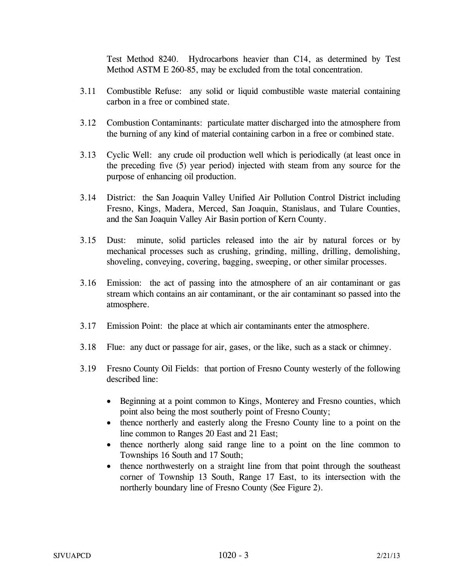Test Method 8240. Hydrocarbons heavier than C14, as determined by Test Method ASTM E 260-85, may be excluded from the total concentration.

- 3.11 Combustible Refuse: any solid or liquid combustible waste material containing carbon in a free or combined state.
- 3.12 Combustion Contaminants: particulate matter discharged into the atmosphere from the burning of any kind of material containing carbon in a free or combined state.
- 3.13 Cyclic Well: any crude oil production well which is periodically (at least once in the preceding five (5) year period) injected with steam from any source for the purpose of enhancing oil production.
- 3.14 District: the San Joaquin Valley Unified Air Pollution Control District including Fresno, Kings, Madera, Merced, San Joaquin, Stanislaus, and Tulare Counties, and the San Joaquin Valley Air Basin portion of Kern County.
- 3.15 Dust: minute, solid particles released into the air by natural forces or by mechanical processes such as crushing, grinding, milling, drilling, demolishing, shoveling, conveying, covering, bagging, sweeping, or other similar processes.
- 3.16 Emission: the act of passing into the atmosphere of an air contaminant or gas stream which contains an air contaminant, or the air contaminant so passed into the atmosphere.
- 3.17 Emission Point: the place at which air contaminants enter the atmosphere.
- 3.18 Flue: any duct or passage for air, gases, or the like, such as a stack or chimney.
- 3.19 Fresno County Oil Fields: that portion of Fresno County westerly of the following described line:
	- Beginning at a point common to Kings, Monterey and Fresno counties, which point also being the most southerly point of Fresno County;
	- thence northerly and easterly along the Fresno County line to a point on the line common to Ranges 20 East and 21 East;
	- thence northerly along said range line to a point on the line common to Townships 16 South and 17 South;
	- thence northwesterly on a straight line from that point through the southeast corner of Township 13 South, Range 17 East, to its intersection with the northerly boundary line of Fresno County (See Figure 2).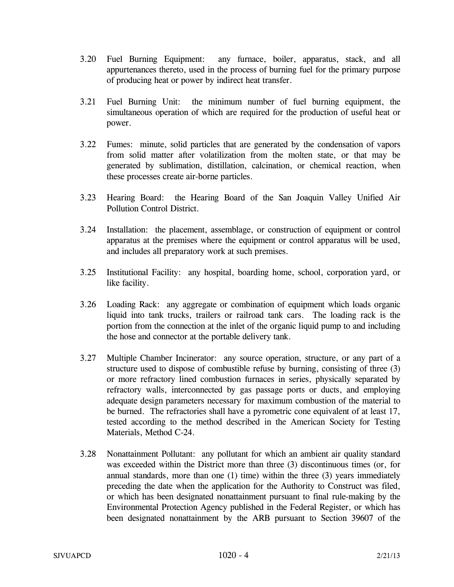- 3.20 Fuel Burning Equipment: any furnace, boiler, apparatus, stack, and all appurtenances thereto, used in the process of burning fuel for the primary purpose of producing heat or power by indirect heat transfer.
- 3.21 Fuel Burning Unit: the minimum number of fuel burning equipment, the simultaneous operation of which are required for the production of useful heat or power.
- 3.22 Fumes: minute, solid particles that are generated by the condensation of vapors from solid matter after volatilization from the molten state, or that may be generated by sublimation, distillation, calcination, or chemical reaction, when these processes create air-borne particles.
- 3.23 Hearing Board: the Hearing Board of the San Joaquin Valley Unified Air Pollution Control District.
- 3.24 Installation: the placement, assemblage, or construction of equipment or control apparatus at the premises where the equipment or control apparatus will be used, and includes all preparatory work at such premises.
- 3.25 Institutional Facility: any hospital, boarding home, school, corporation yard, or like facility.
- 3.26 Loading Rack: any aggregate or combination of equipment which loads organic liquid into tank trucks, trailers or railroad tank cars. The loading rack is the portion from the connection at the inlet of the organic liquid pump to and including the hose and connector at the portable delivery tank.
- 3.27 Multiple Chamber Incinerator: any source operation, structure, or any part of a structure used to dispose of combustible refuse by burning, consisting of three (3) or more refractory lined combustion furnaces in series, physically separated by refractory walls, interconnected by gas passage ports or ducts, and employing adequate design parameters necessary for maximum combustion of the material to be burned. The refractories shall have a pyrometric cone equivalent of at least 17, tested according to the method described in the American Society for Testing Materials, Method C-24.
- 3.28 Nonattainment Pollutant: any pollutant for which an ambient air quality standard was exceeded within the District more than three (3) discontinuous times (or, for annual standards, more than one  $(1)$  time) within the three  $(3)$  years immediately preceding the date when the application for the Authority to Construct was filed, or which has been designated nonattainment pursuant to final rule-making by the Environmental Protection Agency published in the Federal Register, or which has been designated nonattainment by the ARB pursuant to Section 39607 of the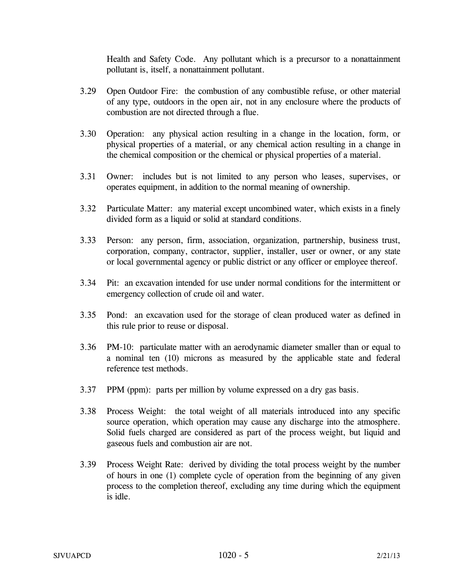Health and Safety Code. Any pollutant which is a precursor to a nonattainment pollutant is, itself, a nonattainment pollutant.

- 3.29 Open Outdoor Fire: the combustion of any combustible refuse, or other material of any type, outdoors in the open air, not in any enclosure where the products of combustion are not directed through a flue.
- 3.30 Operation: any physical action resulting in a change in the location, form, or physical properties of a material, or any chemical action resulting in a change in the chemical composition or the chemical or physical properties of a material.
- 3.31 Owner: includes but is not limited to any person who leases, supervises, or operates equipment, in addition to the normal meaning of ownership.
- 3.32 Particulate Matter: any material except uncombined water, which exists in a finely divided form as a liquid or solid at standard conditions.
- 3.33 Person: any person, firm, association, organization, partnership, business trust, corporation, company, contractor, supplier, installer, user or owner, or any state or local governmental agency or public district or any officer or employee thereof.
- 3.34 Pit: an excavation intended for use under normal conditions for the intermittent or emergency collection of crude oil and water.
- 3.35 Pond: an excavation used for the storage of clean produced water as defined in this rule prior to reuse or disposal.
- 3.36 PM-10: particulate matter with an aerodynamic diameter smaller than or equal to a nominal ten (10) microns as measured by the applicable state and federal reference test methods.
- 3.37 PPM (ppm): parts per million by volume expressed on a dry gas basis.
- 3.38 Process Weight: the total weight of all materials introduced into any specific source operation, which operation may cause any discharge into the atmosphere. Solid fuels charged are considered as part of the process weight, but liquid and gaseous fuels and combustion air are not.
- 3.39 Process Weight Rate: derived by dividing the total process weight by the number of hours in one (1) complete cycle of operation from the beginning of any given process to the completion thereof, excluding any time during which the equipment is idle.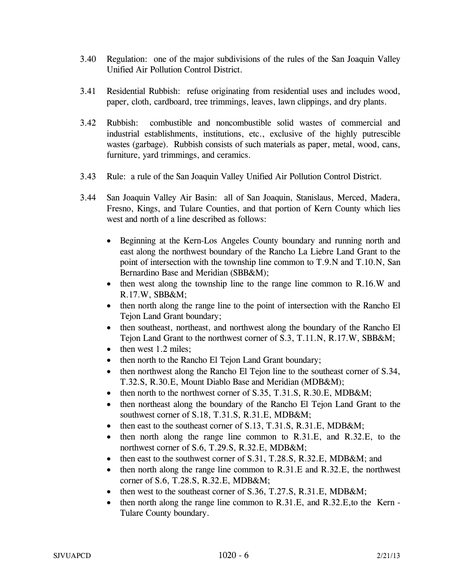- 3.40 Regulation: one of the major subdivisions of the rules of the San Joaquin Valley Unified Air Pollution Control District.
- 3.41 Residential Rubbish: refuse originating from residential uses and includes wood, paper, cloth, cardboard, tree trimmings, leaves, lawn clippings, and dry plants.
- 3.42 Rubbish: combustible and noncombustible solid wastes of commercial and industrial establishments, institutions, etc., exclusive of the highly putrescible wastes (garbage). Rubbish consists of such materials as paper, metal, wood, cans, furniture, yard trimmings, and ceramics.
- 3.43 Rule: a rule of the San Joaquin Valley Unified Air Pollution Control District.
- 3.44 San Joaquin Valley Air Basin: all of San Joaquin, Stanislaus, Merced, Madera, Fresno, Kings, and Tulare Counties, and that portion of Kern County which lies west and north of a line described as follows:
	- Beginning at the Kern-Los Angeles County boundary and running north and east along the northwest boundary of the Rancho La Liebre Land Grant to the point of intersection with the township line common to T.9.N and T.10.N, San Bernardino Base and Meridian (SBB&M);
	- then west along the township line to the range line common to R.16.W and R.17.W, SBB&M;
	- then north along the range line to the point of intersection with the Rancho El Tejon Land Grant boundary;
	- then southeast, northeast, and northwest along the boundary of the Rancho El Tejon Land Grant to the northwest corner of S.3, T.11.N, R.17.W, SBB&M;
	- then west 1.2 miles;
	- then north to the Rancho El Tejon Land Grant boundary;
	- then northwest along the Rancho El Tejon line to the southeast corner of S.34, T.32.S, R.30.E, Mount Diablo Base and Meridian (MDB&M);
	- then north to the northwest corner of S.35, T.31.S, R.30.E, MDB&M;
	- then northeast along the boundary of the Rancho El Tejon Land Grant to the southwest corner of S.18, T.31.S, R.31.E, MDB&M;
	- then east to the southeast corner of S.13, T.31.S, R.31.E, MDB&M;
	- then north along the range line common to R.31.E, and R.32.E, to the northwest corner of S.6, T.29.S, R.32.E, MDB&M;
	- then east to the southwest corner of S.31, T.28.S, R.32.E, MDB&M; and
	- then north along the range line common to R.31.E and R.32.E, the northwest corner of S.6, T.28.S, R.32.E, MDB&M;
	- then west to the southeast corner of S.36, T.27.S, R.31.E, MDB&M;
	- then north along the range line common to R.31.E, and R.32.E, to the Kern -Tulare County boundary.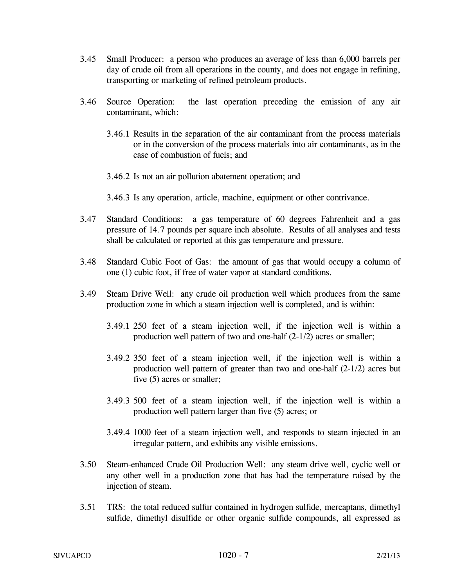- 3.45 Small Producer: a person who produces an average of less than 6,000 barrels per day of crude oil from all operations in the county, and does not engage in refining, transporting or marketing of refined petroleum products.
- 3.46 Source Operation: the last operation preceding the emission of any air contaminant, which:
	- 3.46.1 Results in the separation of the air contaminant from the process materials or in the conversion of the process materials into air contaminants, as in the case of combustion of fuels; and
	- 3.46.2 Is not an air pollution abatement operation; and
	- 3.46.3 Is any operation, article, machine, equipment or other contrivance.
- 3.47 Standard Conditions: a gas temperature of 60 degrees Fahrenheit and a gas pressure of 14.7 pounds per square inch absolute. Results of all analyses and tests shall be calculated or reported at this gas temperature and pressure.
- 3.48 Standard Cubic Foot of Gas: the amount of gas that would occupy a column of one (1) cubic foot, if free of water vapor at standard conditions.
- 3.49 Steam Drive Well: any crude oil production well which produces from the same production zone in which a steam injection well is completed, and is within:
	- 3.49.1 250 feet of a steam injection well, if the injection well is within a production well pattern of two and one-half (2-1/2) acres or smaller;
	- 3.49.2 350 feet of a steam injection well, if the injection well is within a production well pattern of greater than two and one-half (2-1/2) acres but five (5) acres or smaller;
	- 3.49.3 500 feet of a steam injection well, if the injection well is within a production well pattern larger than five (5) acres; or
	- 3.49.4 1000 feet of a steam injection well, and responds to steam injected in an irregular pattern, and exhibits any visible emissions.
- 3.50 Steam-enhanced Crude Oil Production Well: any steam drive well, cyclic well or any other well in a production zone that has had the temperature raised by the injection of steam.
- 3.51 TRS: the total reduced sulfur contained in hydrogen sulfide, mercaptans, dimethyl sulfide, dimethyl disulfide or other organic sulfide compounds, all expressed as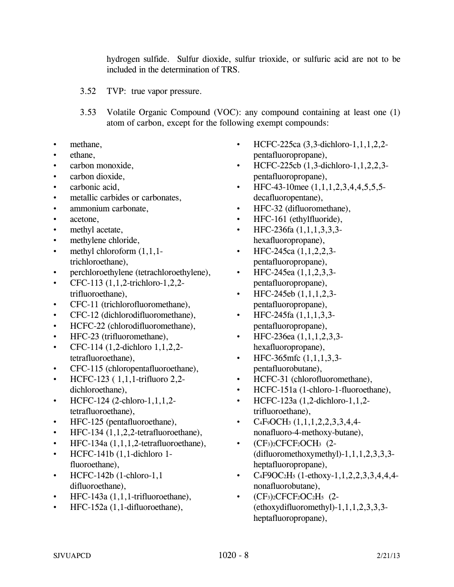hydrogen sulfide. Sulfur dioxide, sulfur trioxide, or sulfuric acid are not to be included in the determination of TRS.

- 3.52 TVP: true vapor pressure.
- 3.53 Volatile Organic Compound (VOC): any compound containing at least one (1) atom of carbon, except for the following exempt compounds:
- methane,
- ethane,
- carbon monoxide,
- carbon dioxide,
- carbonic acid.
- metallic carbides or carbonates,
- ammonium carbonate,
- acetone,
- methyl acetate,
- methylene chloride,
- methyl chloroform  $(1,1,1$ trichloroethane),
- perchloroethylene (tetrachloroethylene),
- CFC-113  $(1,1,2$ -trichloro-1,2,2trifluoroethane),
- CFC-11 (trichlorofluoromethane),
- CFC-12 (dichlorodifluoromethane),
- HCFC-22 (chlorodifluoromethane),
- HFC-23 (trifluoromethane),
- CFC-114 (1,2-dichloro 1,1,2,2 tetrafluoroethane),
- CFC-115 (chloropentafluoroethane),
- HCFC-123 ( 1,1,1-trifluoro 2,2 dichloroethane),
- HCFC-124 (2-chloro-1,1,1,2tetrafluoroethane),
- HFC-125 (pentafluoroethane),
- HFC-134 (1,1,2,2-tetrafluoroethane),
- HFC-134a  $(1,1,1,2$ -tetrafluoroethane),
- HCFC-141b (1,1-dichloro 1 fluoroethane),
- HCFC-142b  $(1$ -chloro-1,1 difluoroethane),
- HFC-143a (1,1,1-trifluoroethane),
- HFC-152a (1,1-difluoroethane),
- HCFC-225ca (3,3-dichloro-1,1,1,2,2pentafluoropropane),
- HCFC-225cb (1,3-dichloro-1,1,2,2,3pentafluoropropane),
- HFC-43-10mee  $(1,1,1,2,3,4,4,5,5,5,$ decafluoropentane),
- HFC-32 (difluoromethane),
- HFC-161 (ethylfluoride),
- HFC-236fa  $(1,1,1,3,3,3,$ hexafluoropropane),
- HFC-245ca  $(1,1,2,2,3$ pentafluoropropane),
- HFC-245ea  $(1,1,2,3,3)$ pentafluoropropane),
- HFC-245eb  $(1,1,1,2,3$ pentafluoropropane),
- HFC-245fa (1,1,1,3,3 pentafluoropropane),
- HFC-236ea (1,1,1,2,3,3 hexafluoropropane),
- HFC-365mfc  $(1,1,1,3,3$ pentafluorobutane),
- HCFC-31 (chlorofluoromethane),
- HCFC-151a (1-chloro-1-fluoroethane),
- HCFC-123a (1,2-dichloro-1,1,2 trifluoroethane),
- C4F9OCH3 (1,1,1,2,2,3,3,4,4 nonafluoro-4-methoxy-butane),
- $(CF_3)_2$ CFCF<sub>2</sub>OCH<sub>3</sub> (2-(difluoromethoxymethyl)-1,1,1,2,3,3,3 heptafluoropropane),
- $C_4$ F9OC<sub>2</sub>H<sub>5</sub> (1-ethoxy-1, 1, 2, 2, 3, 3, 4, 4, 4nonafluorobutane),
- $(CF_3)_2$ CFCF<sub>2</sub>OC<sub>2</sub>H<sub>5</sub> (2-(ethoxydifluoromethyl)-1,1,1,2,3,3,3 heptafluoropropane),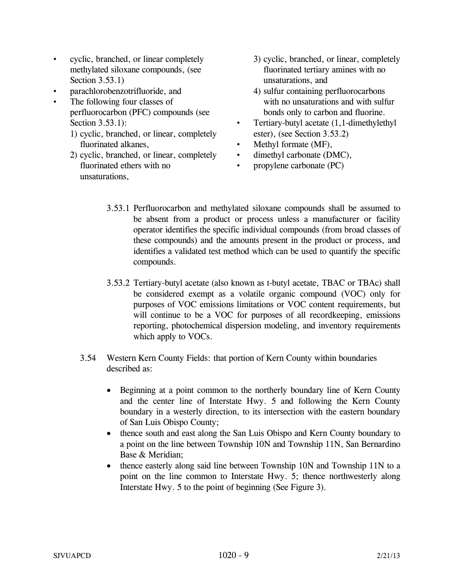- cyclic, branched, or linear completely methylated siloxane compounds, (see Section 3.53.1)
- parachlorobenzotrifluoride, and
- The following four classes of perfluorocarbon (PFC) compounds (see Section 3.53.1):
	- 1) cyclic, branched, or linear, completely fluorinated alkanes,
	- 2) cyclic, branched, or linear, completely fluorinated ethers with no unsaturations,
- 3) cyclic, branched, or linear, completely fluorinated tertiary amines with no unsaturations, and
- 4) sulfur containing perfluorocarbons with no unsaturations and with sulfur bonds only to carbon and fluorine.
- Tertiary-butyl acetate (1,1-dimethylethyl ester), (see Section 3.53.2)
- Methyl formate (MF),
- dimethyl carbonate (DMC),
- propylene carbonate (PC)
- 3.53.1 Perfluorocarbon and methylated siloxane compounds shall be assumed to be absent from a product or process unless a manufacturer or facility operator identifies the specific individual compounds (from broad classes of these compounds) and the amounts present in the product or process, and identifies a validated test method which can be used to quantify the specific compounds.
- 3.53.2 Tertiary-butyl acetate (also known as t-butyl acetate, TBAC or TBAc) shall be considered exempt as a volatile organic compound (VOC) only for purposes of VOC emissions limitations or VOC content requirements, but will continue to be a VOC for purposes of all record keeping, emissions reporting, photochemical dispersion modeling, and inventory requirements which apply to VOCs.
- 3.54 Western Kern County Fields: that portion of Kern County within boundaries described as:
	- Beginning at a point common to the northerly boundary line of Kern County and the center line of Interstate Hwy. 5 and following the Kern County boundary in a westerly direction, to its intersection with the eastern boundary of San Luis Obispo County;
	- thence south and east along the San Luis Obispo and Kern County boundary to a point on the line between Township 10N and Township 11N, San Bernardino Base & Meridian;
	- thence easterly along said line between Township 10N and Township 11N to a point on the line common to Interstate Hwy. 5; thence northwesterly along Interstate Hwy. 5 to the point of beginning (See Figure 3).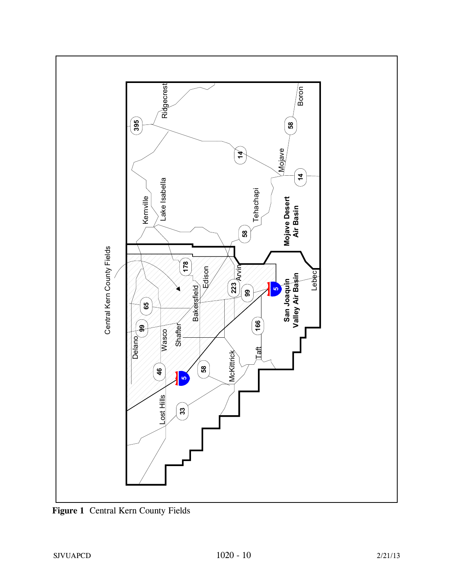

**Figure 1** Central Kern County Fields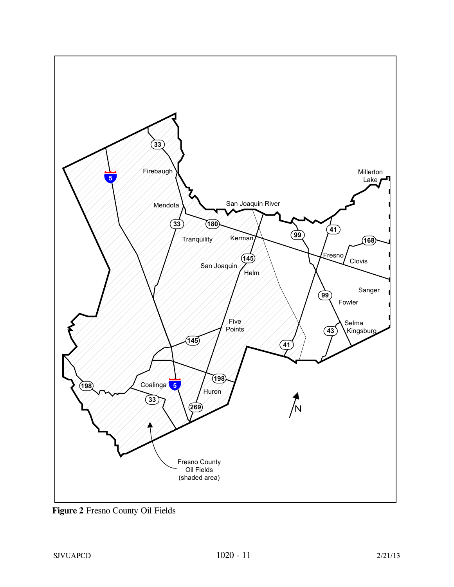

**Figure 2** Fresno County Oil Fields